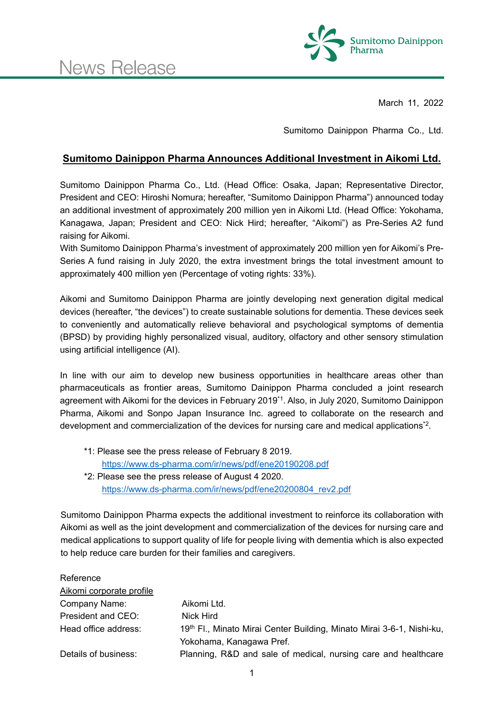

March 11, 2022

Sumitomo Dainippon Pharma Co., Ltd.

## **Sumitomo Dainippon Pharma Announces Additional Investment in Aikomi Ltd.**

Sumitomo Dainippon Pharma Co., Ltd. (Head Office: Osaka, Japan; Representative Director, President and CEO: Hiroshi Nomura; hereafter, "Sumitomo Dainippon Pharma") announced today an additional investment of approximately 200 million yen in Aikomi Ltd. (Head Office: Yokohama, Kanagawa, Japan; President and CEO: Nick Hird; hereafter, "Aikomi") as Pre-Series A2 fund raising for Aikomi.

With Sumitomo Dainippon Pharma's investment of approximately 200 million yen for Aikomi's Pre-Series A fund raising in July 2020, the extra investment brings the total investment amount to approximately 400 million yen (Percentage of voting rights: 33%).

Aikomi and Sumitomo Dainippon Pharma are jointly developing next generation digital medical devices (hereafter, "the devices") to create sustainable solutions for dementia. These devices seek to conveniently and automatically relieve behavioral and psychological symptoms of dementia (BPSD) by providing highly personalized visual, auditory, olfactory and other sensory stimulation using artificial intelligence (AI).

In line with our aim to develop new business opportunities in healthcare areas other than pharmaceuticals as frontier areas, Sumitomo Dainippon Pharma concluded a joint research agreement with Aikomi for the devices in February 2019\*1. Also, in July 2020, Sumitomo Dainippon Pharma, Aikomi and Sonpo Japan Insurance Inc. agreed to collaborate on the research and development and commercialization of the devices for nursing care and medical applications\*2.

- \*1: Please see the press release of February 8 2019. https://www.ds-pharma.com/ir/news/pdf/ene20190208.pdf \*2: Please see the press release of August 4 2020.
	- https://www.ds-pharma.com/ir/news/pdf/ene20200804\_rev2.pdf

Sumitomo Dainippon Pharma expects the additional investment to reinforce its collaboration with Aikomi as well as the joint development and commercialization of the devices for nursing care and medical applications to support quality of life for people living with dementia which is also expected to help reduce care burden for their families and caregivers.

| Reference                |                                                                                   |
|--------------------------|-----------------------------------------------------------------------------------|
| Aikomi corporate profile |                                                                                   |
| Company Name:            | Aikomi Ltd.                                                                       |
| President and CEO:       | Nick Hird                                                                         |
| Head office address:     | 19 <sup>th</sup> Fl., Minato Mirai Center Building, Minato Mirai 3-6-1, Nishi-ku, |
|                          | Yokohama, Kanagawa Pref.                                                          |
| Details of business:     | Planning, R&D and sale of medical, nursing care and healthcare                    |